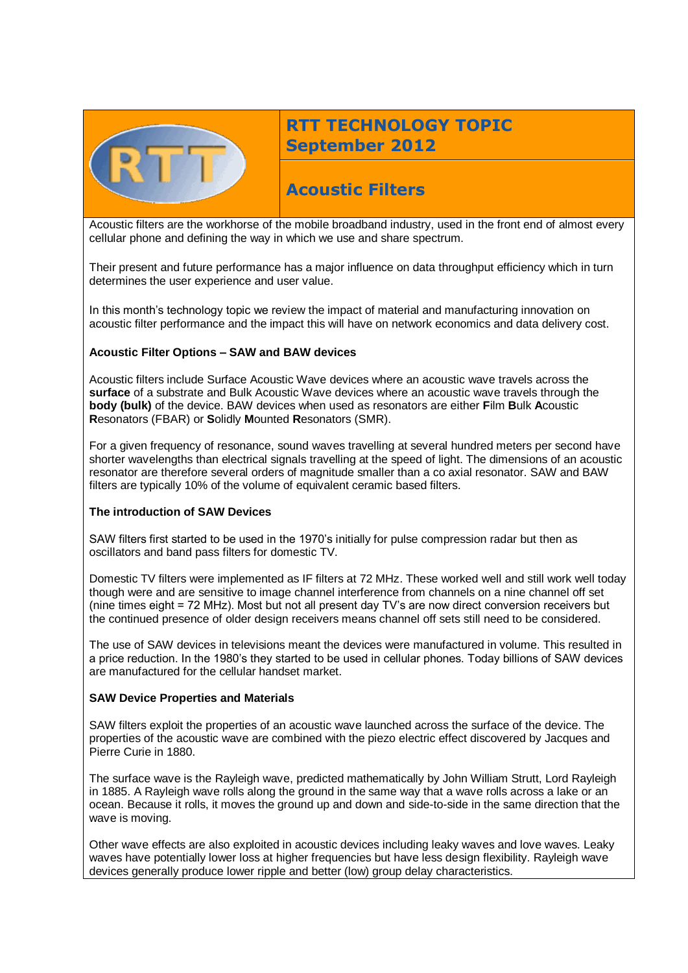

# **RTT TECHNOLOGY TOPIC September 2012**

# **Acoustic Filters**

Acoustic filters are the workhorse of the mobile broadband industry, used in the front end of almost every cellular phone and defining the way in which we use and share spectrum.

Their present and future performance has a major influence on data throughput efficiency which in turn determines the user experience and user value.

In this month's technology topic we review the impact of material and manufacturing innovation on acoustic filter performance and the impact this will have on network economics and data delivery cost.

### **Acoustic Filter Options – SAW and BAW devices**

Acoustic filters include Surface Acoustic Wave devices where an acoustic wave travels across the **surface** of a substrate and Bulk Acoustic Wave devices where an acoustic wave travels through the **body (bulk)** of the device. BAW devices when used as resonators are either **F**ilm **B**ulk **A**coustic **R**esonators (FBAR) or **S**olidly **M**ounted **R**esonators (SMR).

For a given frequency of resonance, sound waves travelling at several hundred meters per second have shorter wavelengths than electrical signals travelling at the speed of light. The dimensions of an acoustic resonator are therefore several orders of magnitude smaller than a co axial resonator. SAW and BAW filters are typically 10% of the volume of equivalent ceramic based filters.

#### **The introduction of SAW Devices**

SAW filters first started to be used in the 1970's initially for pulse compression radar but then as oscillators and band pass filters for domestic TV.

Domestic TV filters were implemented as IF filters at 72 MHz. These worked well and still work well today though were and are sensitive to image channel interference from channels on a nine channel off set (nine times eight = 72 MHz). Most but not all present day TV's are now direct conversion receivers but the continued presence of older design receivers means channel off sets still need to be considered.

The use of SAW devices in televisions meant the devices were manufactured in volume. This resulted in a price reduction. In the 1980's they started to be used in cellular phones. Today billions of SAW devices are manufactured for the cellular handset market.

#### **SAW Device Properties and Materials**

SAW filters exploit the properties of an acoustic wave launched across the surface of the device. The properties of the acoustic wave are combined with the piezo electric effect discovered by Jacques and Pierre Curie in 1880.

The surface wave is the Rayleigh wave, predicted mathematically by John William Strutt, Lord Rayleigh in 1885. A Rayleigh wave rolls along the ground in the same way that a wave rolls across a lake or an ocean. Because it rolls, it moves the ground up and down and side-to-side in the same direction that the wave is moving.

Other wave effects are also exploited in acoustic devices including leaky waves and love waves. Leaky waves have potentially lower loss at higher frequencies but have less design flexibility. Rayleigh wave devices generally produce lower ripple and better (low) group delay characteristics.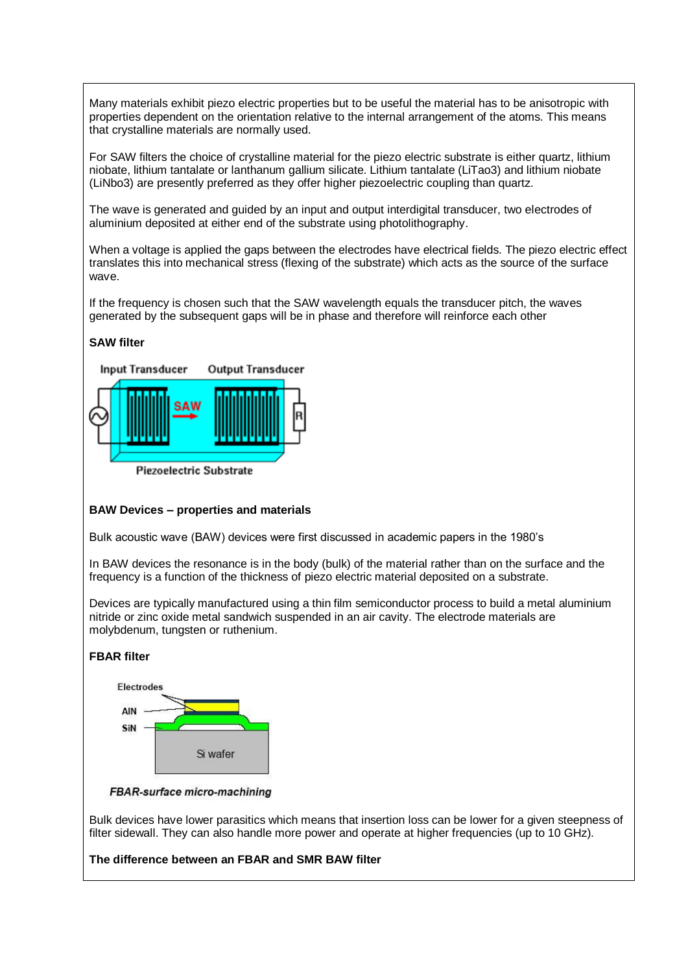Many materials exhibit piezo electric properties but to be useful the material has to be anisotropic with properties dependent on the orientation relative to the internal arrangement of the atoms. This means that crystalline materials are normally used.

For SAW filters the choice of crystalline material for the piezo electric substrate is either quartz, lithium niobate, lithium tantalate or lanthanum gallium silicate. Lithium tantalate (LiTao3) and lithium niobate (LiNbo3) are presently preferred as they offer higher piezoelectric coupling than quartz.

The wave is generated and guided by an input and output interdigital transducer, two electrodes of aluminium deposited at either end of the substrate using photolithography.

When a voltage is applied the gaps between the electrodes have electrical fields. The piezo electric effect translates this into mechanical stress (flexing of the substrate) which acts as the source of the surface wave.

If the frequency is chosen such that the SAW wavelength equals the transducer pitch, the waves generated by the subsequent gaps will be in phase and therefore will reinforce each other

# **SAW filter**



# **BAW Devices – properties and materials**

Bulk acoustic wave (BAW) devices were first discussed in academic papers in the 1980's

In BAW devices the resonance is in the body (bulk) of the material rather than on the surface and the frequency is a function of the thickness of piezo electric material deposited on a substrate.

Devices are typically manufactured using a thin film semiconductor process to build a metal aluminium nitride or zinc oxide metal sandwich suspended in an air cavity. The electrode materials are molybdenum, tungsten or ruthenium.

### **FBAR filter**



FBAR-surface micro-machining

Bulk devices have lower parasitics which means that insertion loss can be lower for a given steepness of filter sidewall. They can also handle more power and operate at higher frequencies (up to 10 GHz).

**The difference between an FBAR and SMR BAW filter**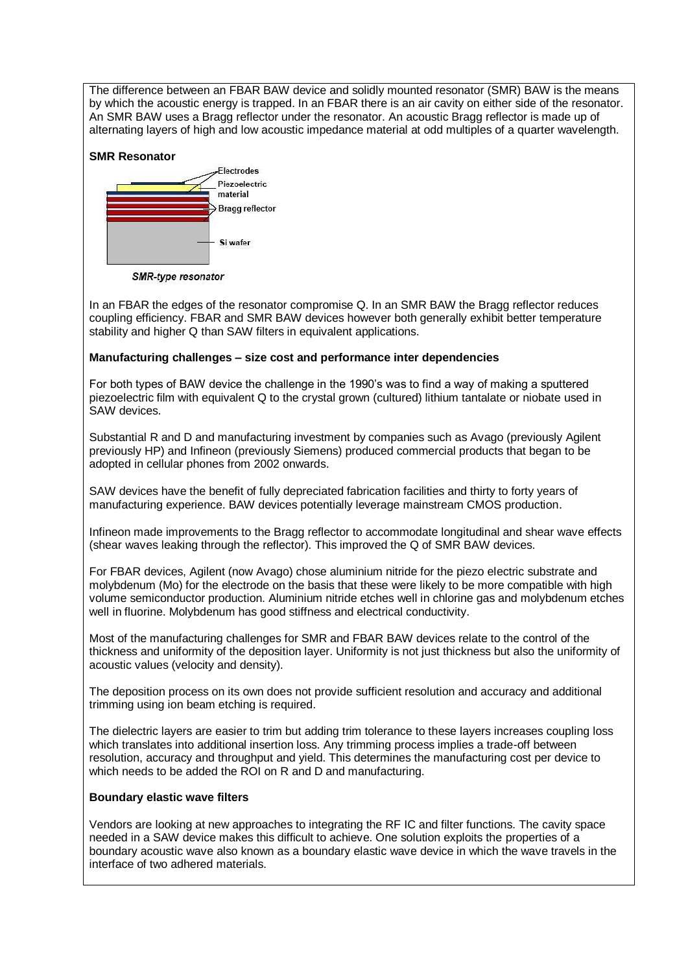The difference between an FBAR BAW device and solidly mounted resonator (SMR) BAW is the means by which the acoustic energy is trapped. In an FBAR there is an air cavity on either side of the resonator. An SMR BAW uses a Bragg reflector under the resonator. An acoustic Bragg reflector is made up of alternating layers of high and low acoustic impedance material at odd multiples of a quarter wavelength.

### **SMR Resonator**



SMR-type resonator

In an FBAR the edges of the resonator compromise Q. In an SMR BAW the Bragg reflector reduces coupling efficiency. FBAR and SMR BAW devices however both generally exhibit better temperature stability and higher Q than SAW filters in equivalent applications.

# **Manufacturing challenges – size cost and performance inter dependencies**

For both types of BAW device the challenge in the 1990's was to find a way of making a sputtered piezoelectric film with equivalent Q to the crystal grown (cultured) lithium tantalate or niobate used in SAW devices.

Substantial R and D and manufacturing investment by companies such as Avago (previously Agilent previously HP) and Infineon (previously Siemens) produced commercial products that began to be adopted in cellular phones from 2002 onwards.

SAW devices have the benefit of fully depreciated fabrication facilities and thirty to forty years of manufacturing experience. BAW devices potentially leverage mainstream CMOS production.

Infineon made improvements to the Bragg reflector to accommodate longitudinal and shear wave effects (shear waves leaking through the reflector). This improved the Q of SMR BAW devices.

For FBAR devices, Agilent (now Avago) chose aluminium nitride for the piezo electric substrate and molybdenum (Mo) for the electrode on the basis that these were likely to be more compatible with high volume semiconductor production. Aluminium nitride etches well in chlorine gas and molybdenum etches well in fluorine. Molybdenum has good stiffness and electrical conductivity.

Most of the manufacturing challenges for SMR and FBAR BAW devices relate to the control of the thickness and uniformity of the deposition layer. Uniformity is not just thickness but also the uniformity of acoustic values (velocity and density).

The deposition process on its own does not provide sufficient resolution and accuracy and additional trimming using ion beam etching is required.

The dielectric layers are easier to trim but adding trim tolerance to these layers increases coupling loss which translates into additional insertion loss. Any trimming process implies a trade-off between resolution, accuracy and throughput and yield. This determines the manufacturing cost per device to which needs to be added the ROI on R and D and manufacturing.

### **Boundary elastic wave filters**

Vendors are looking at new approaches to integrating the RF IC and filter functions. The cavity space needed in a SAW device makes this difficult to achieve. One solution exploits the properties of a boundary acoustic wave also known as a boundary elastic wave device in which the wave travels in the interface of two adhered materials.